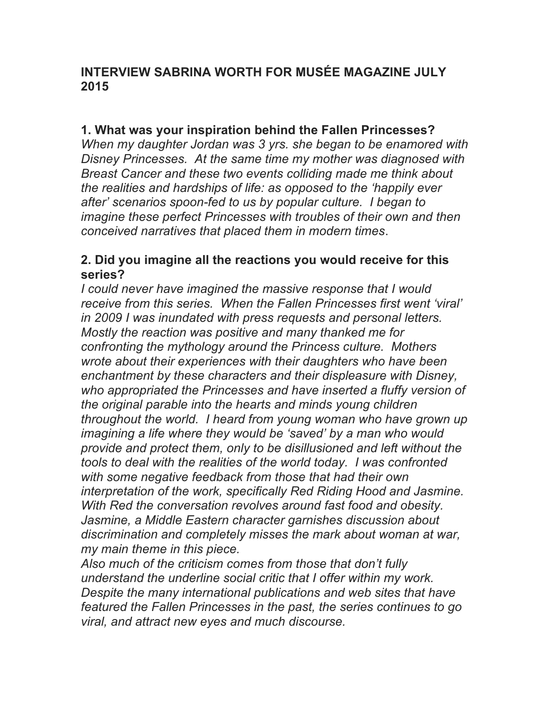# **INTERVIEW SABRINA WORTH FOR MUSÉE MAGAZINE JULY 2015**

## **1. What was your inspiration behind the Fallen Princesses?**

*When my daughter Jordan was 3 yrs. she began to be enamored with Disney Princesses. At the same time my mother was diagnosed with Breast Cancer and these two events colliding made me think about the realities and hardships of life: as opposed to the 'happily ever after' scenarios spoon-fed to us by popular culture. I began to imagine these perfect Princesses with troubles of their own and then conceived narratives that placed them in modern times*.

### **2. Did you imagine all the reactions you would receive for this series?**

*I could never have imagined the massive response that I would receive from this series. When the Fallen Princesses first went 'viral' in 2009 I was inundated with press requests and personal letters. Mostly the reaction was positive and many thanked me for confronting the mythology around the Princess culture. Mothers wrote about their experiences with their daughters who have been enchantment by these characters and their displeasure with Disney, who appropriated the Princesses and have inserted a fluffy version of the original parable into the hearts and minds young children throughout the world. I heard from young woman who have grown up imagining a life where they would be 'saved' by a man who would provide and protect them, only to be disillusioned and left without the tools to deal with the realities of the world today. I was confronted with some negative feedback from those that had their own interpretation of the work, specifically Red Riding Hood and Jasmine. With Red the conversation revolves around fast food and obesity. Jasmine, a Middle Eastern character garnishes discussion about discrimination and completely misses the mark about woman at war, my main theme in this piece.*

*Also much of the criticism comes from those that don't fully understand the underline social critic that I offer within my work. Despite the many international publications and web sites that have featured the Fallen Princesses in the past, the series continues to go viral, and attract new eyes and much discourse.*